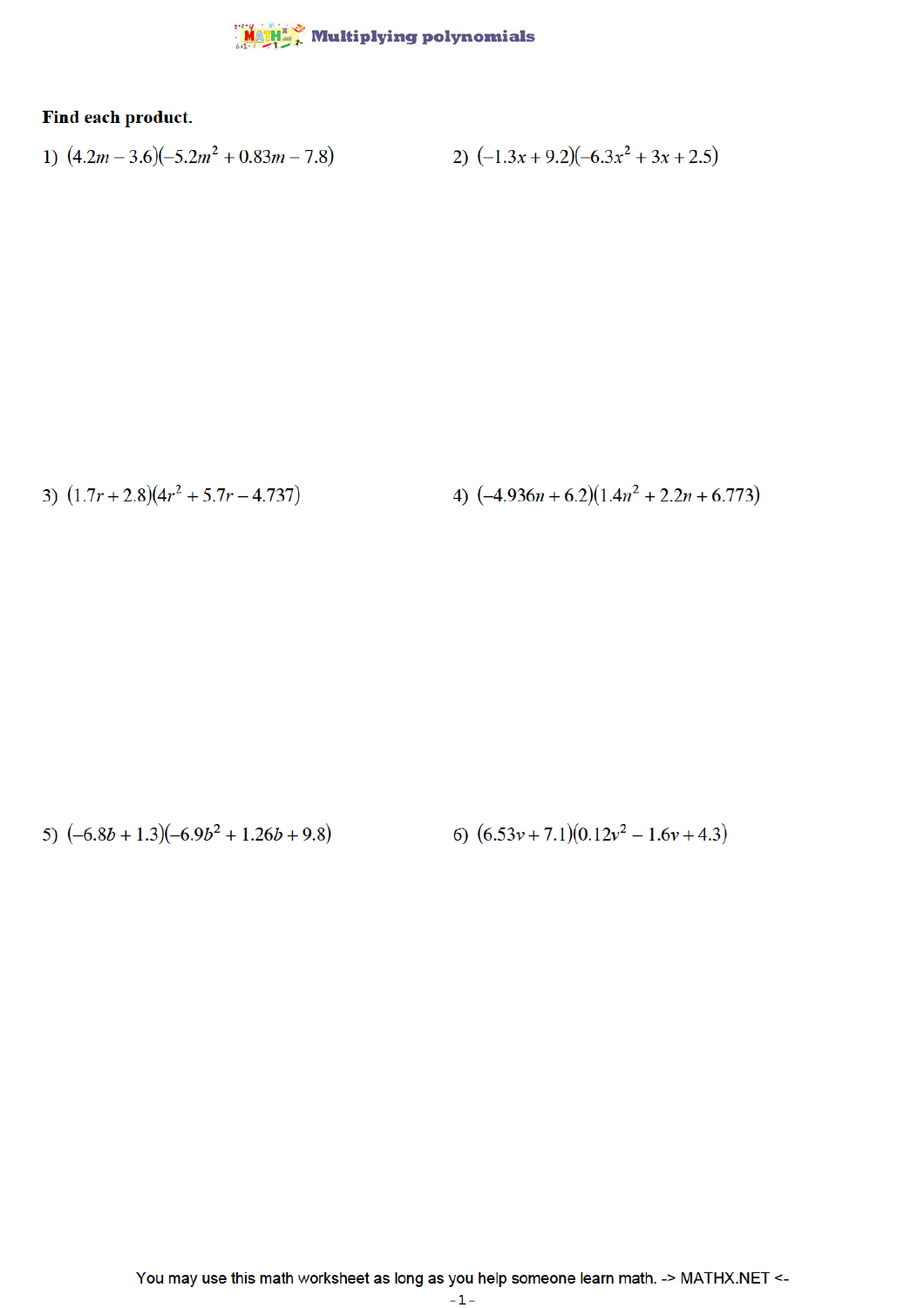## MATH" Multiplying polynomials

## Find each product.

1) 
$$
(4.2m - 3.6)(-5.2m^2 + 0.83m - 7.8)
$$
  
2)  $(-1.3x + 9.2)(-6.3x^2 + 3x + 2.5)$ 

3)  $(1.7r + 2.8)(4r^2 + 5.7r - 4.737)$ 

4)  $(-4.936n + 6.2)(1.4n^2 + 2.2n + 6.773)$ 

5)  $(-6.8b + 1.3)(-6.9b^2 + 1.26b + 9.8)$ 6)  $(6.53v + 7.1)(0.12v^2 - 1.6v + 4.3)$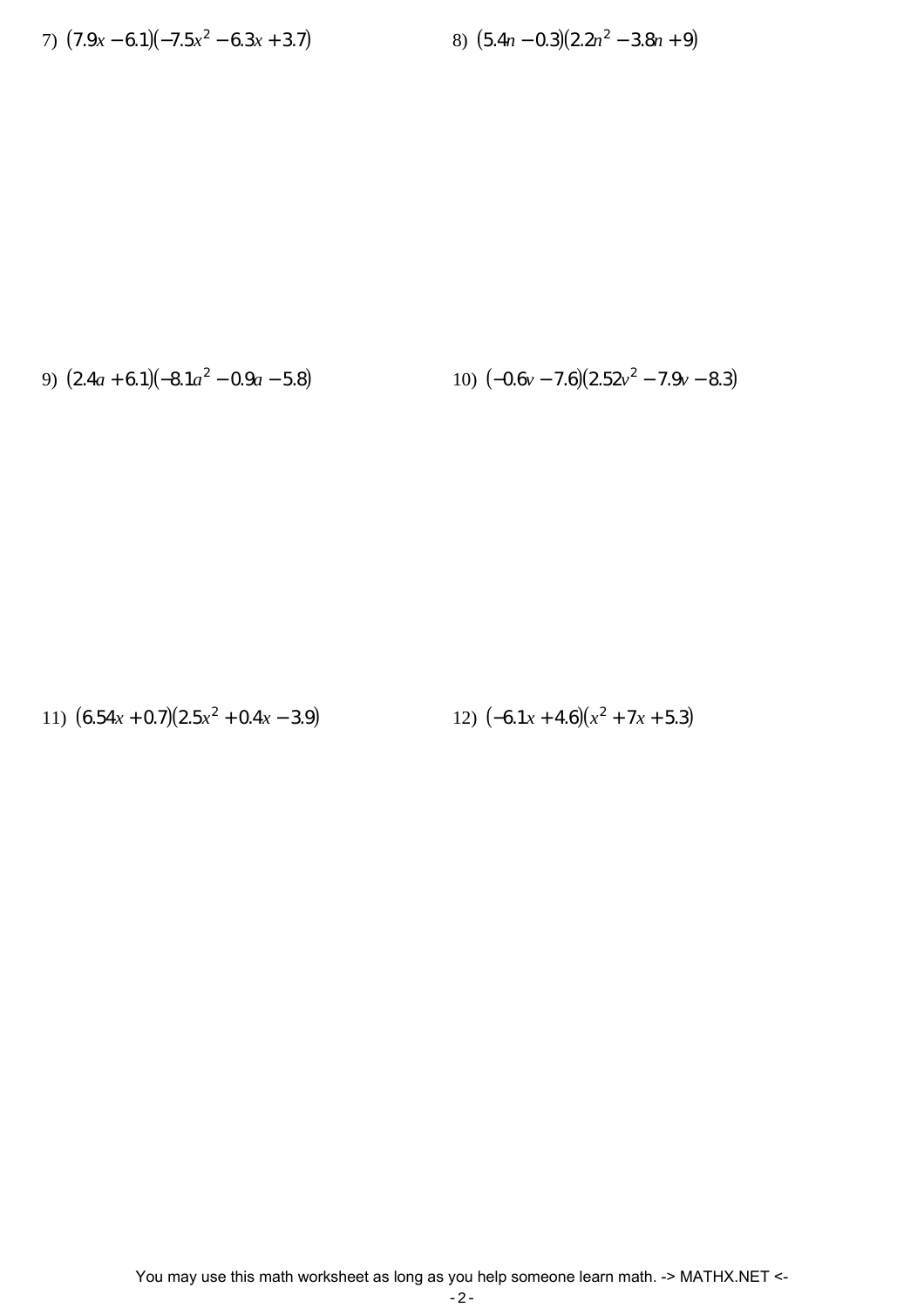7) 
$$
(7.9x-6.1)(-7.5x^2-6.3x+3.7)
$$

$$
-6.3x + 3.7) \t\t\t 8) (5.4n - 0.3)(2.2n2 - 3.8n + 9)
$$

9) 
$$
(2.4a + 6.1)(-8.1a^2 - 0.9a - 5.8)
$$

$$
-0.9a - 5.8
$$
 (10)  $(-0.6v - 7.6)(2.52v2 - 7.9v - 8.3)$ 

11) 
$$
(6.54x + 0.7)(2.5x^2 + 0.4x - 3.9)
$$
  
12)  $(-6.1x + 4.6)(x^2 + 7x + 5.3)$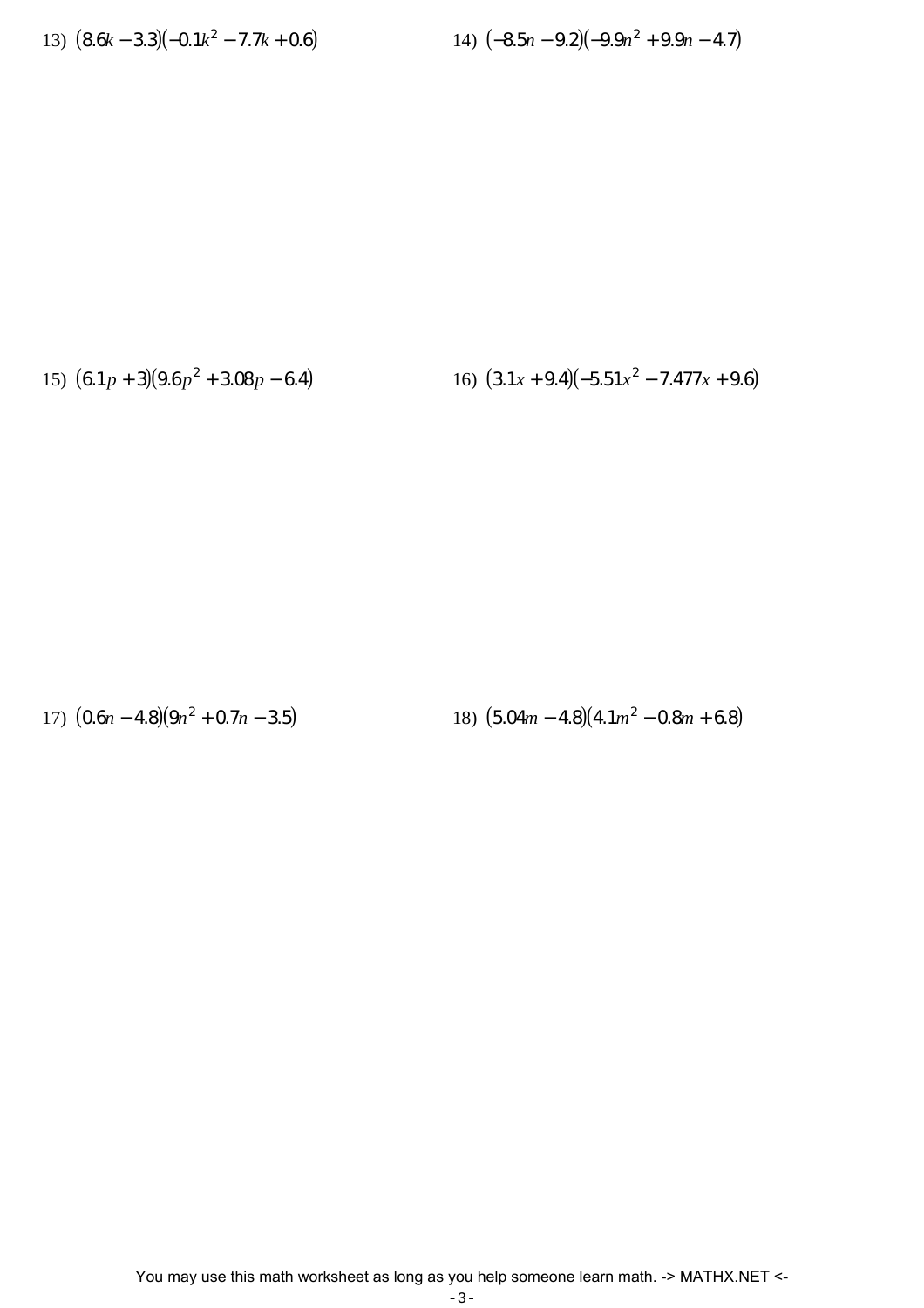13) (8.6*k* − 3.3)(−0.1*k* 2

$$
-7.7k + 0.6
$$
 (14)  $(-8.5n - 9.2)(-9.9n2 + 9.9n - 4.7)$ 

15)  $(6.1p+3)(9.6p^2)$ 

 $+ 3.08 p - 6.4$  16)  $(3.1x + 9.4)(-5.51x^2 - 7.477x + 9.6)$ 

17) (0.6*n* − 4.8)(9*n* 2

 $+ 0.7n - 3.5$ ) 18)  $(5.04m - 4.8)(4.1m^2 - 0.8m + 6.8)$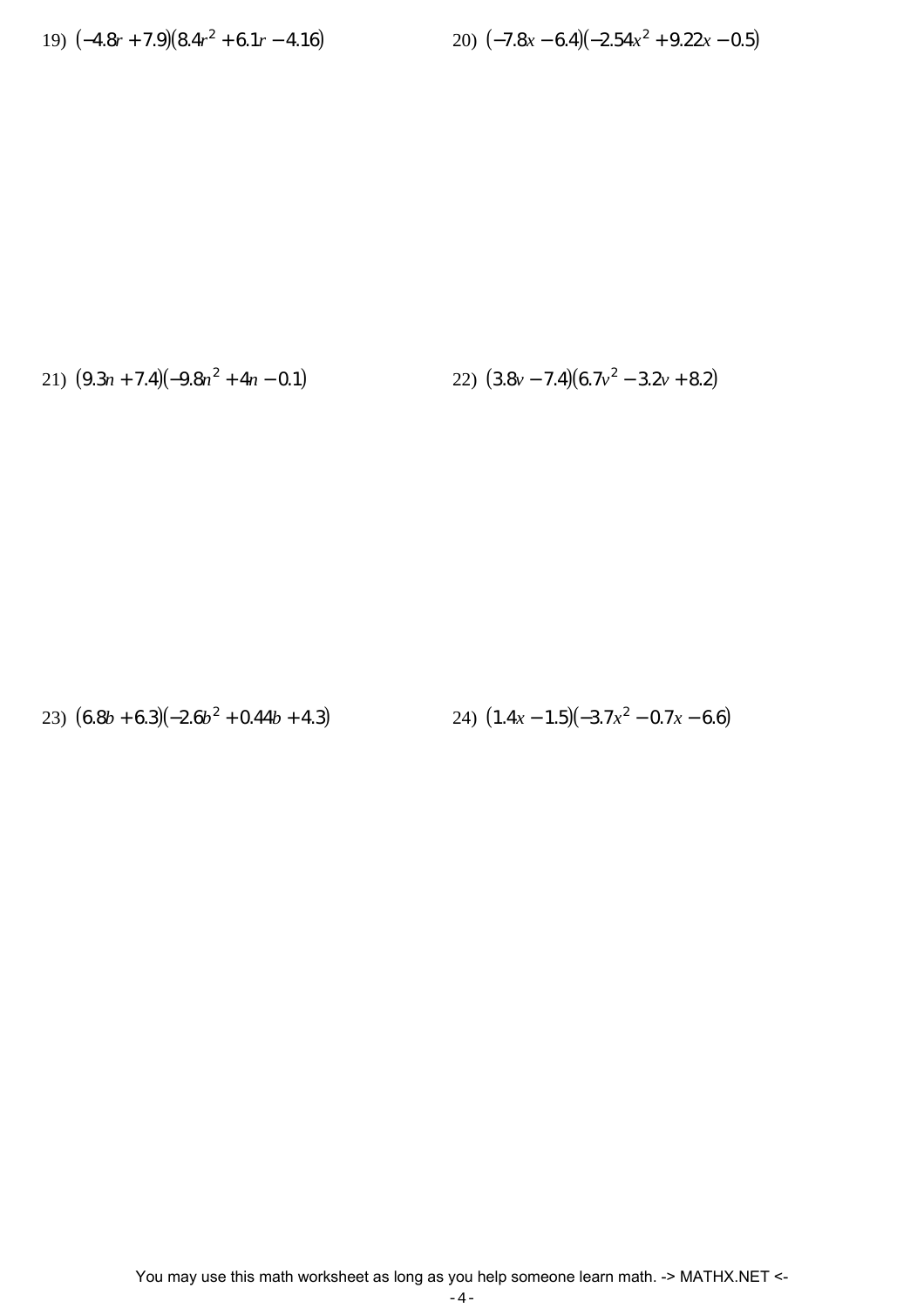19) 
$$
(-4.8r + 7.9)(8.4r^2 + 6.1r - 4.16)
$$

$$
+6.1r-4.16
$$
 20)  $(-7.8x-6.4)(-2.54x^2+9.22x-0.5)$ 

21) 
$$
(9.3n + 7.4)(-9.8n^2 + 4n - 0.1)
$$
  
22)  $(3.8v - 7.4)(6.7v^2 - 3.2v + 8.2)$ 

23) 
$$
(6.8b+6.3)(-2.6b^2+0.44b+4.3)
$$
 24)  $(1.4x-1.5)(-3.7x^2-0.7x-6.6)$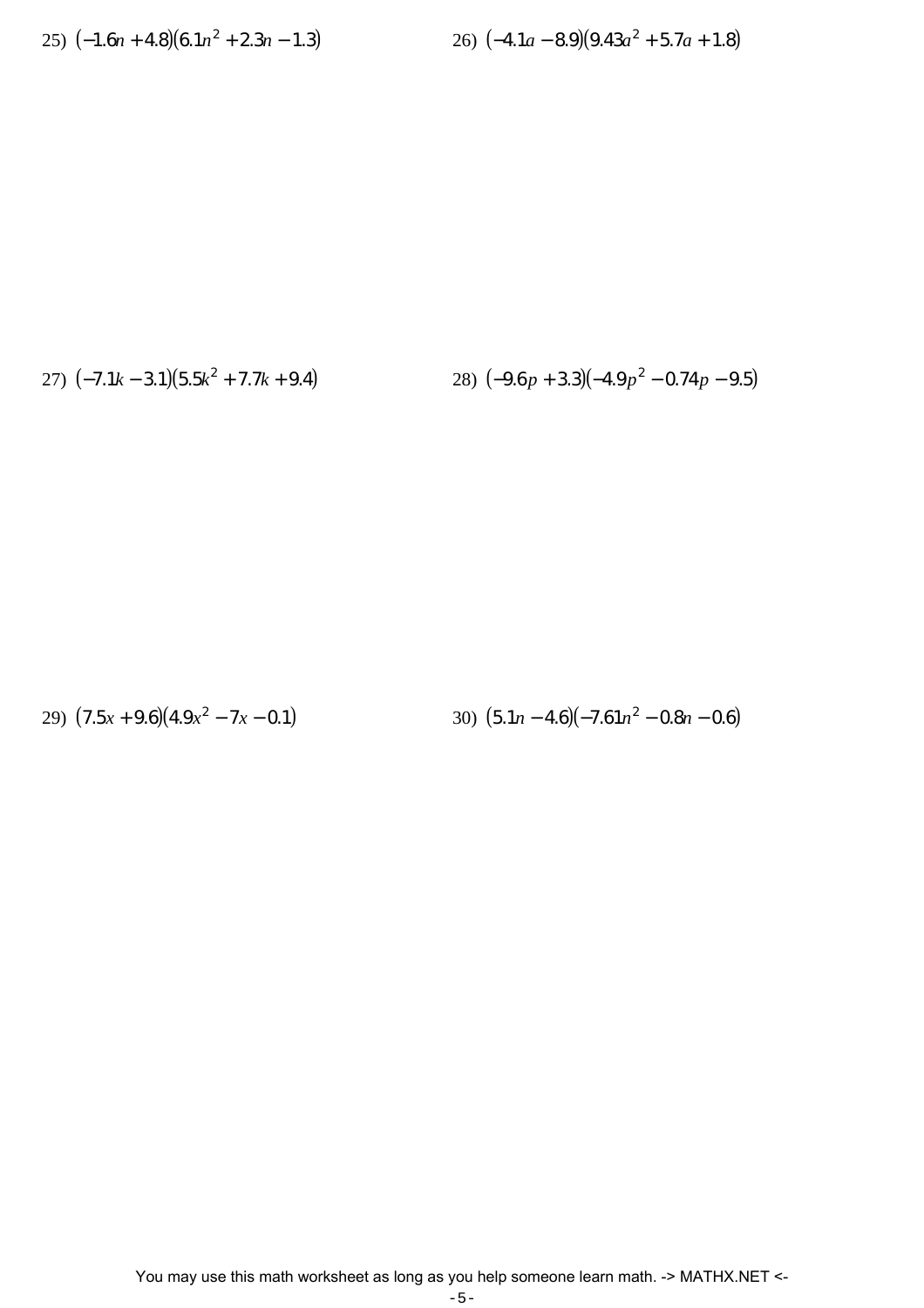$$
25)\ (-1.6n+4.8)(6.1n^2+2.3n-1.3)
$$

$$
+2.3n-1.3) \t\t\t\t26) (-4.1a-8.9)(9.43a2+5.7a+1.8)
$$

27) (−7.1*k* − 3.1)(5.5*k* 2 + 7.7*k* + 9.4) 28) (−9.6 *p* + 3.3)(−4.9 *p*

28) 
$$
(-9.6p + 3.3)(-4.9p^2 - 0.74p - 9.5)
$$

29) (7.5*x* + 9.6)(4.9*x* 2

 $(5.1n - 4.6)(-7.61n^2 - 0.8n - 0.6)$